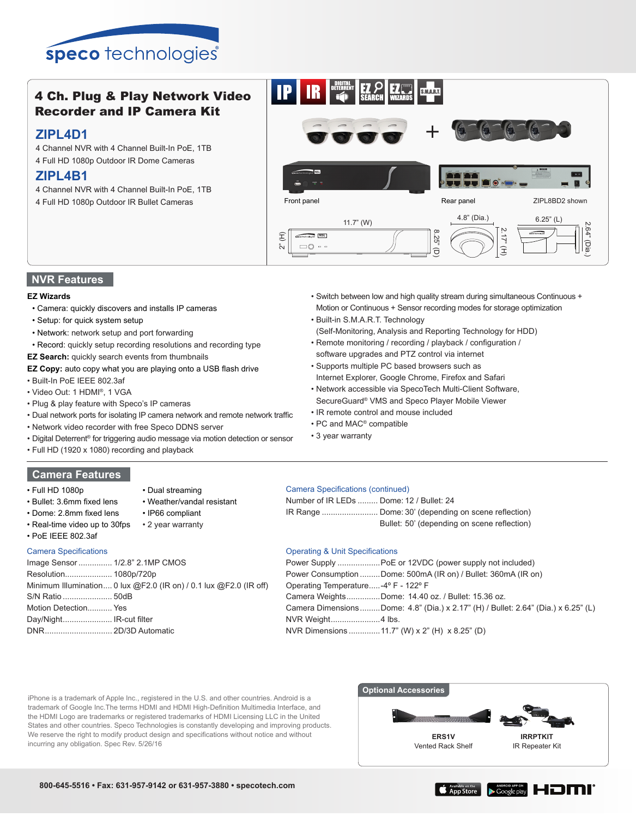

# 4 Ch. Plug & Play Network Video Recorder and IP Camera Kit

## **ZIPL4D1**

- 4 Channel NVR with 4 Channel Built-In PoE, 1TB
- 4 Full HD 1080p Outdoor IR Dome Cameras

# **ZIPL4B1**

- 4 Channel NVR with 4 Channel Built-In PoE, 1TB
- 4 Full HD 1080p Outdoor IR Bullet Cameras



## **NVR Features**

### **EZ Wizards**

- Camera: quickly discovers and installs IP cameras
- Setup: for quick system setup
- Network: network setup and port forwarding
- Record: quickly setup recording resolutions and recording type
- **EZ Search:** quickly search events from thumbnails
- **EZ Copy:** auto copy what you are playing onto a USB flash drive
- Built-In PoE IEEE 802.3af
- Video Out: 1 HDMI®, 1 VGA
- Plug & play feature with Speco's IP cameras
- Dual network ports for isolating IP camera network and remote network traffic
- Network video recorder with free Speco DDNS server
- Digital Deterrent® for triggering audio message via motion detection or sensor

• Dual streaming

• IP66 compliant

• Weather/vandal resistant

• Full HD (1920 x 1080) recording and playback

# **Camera Features**

- Full HD 1080p
- Bullet: 3.6mm fixed lens
- Dome: 2.8mm fixed lens

Day/Night...................... IR-cut filter DNR.............................. 2D/3D Automatic

- Real-time video up to 30fps • 2 year warranty
- PoE IEEE 802.3af

| <b>Camera Specifications</b>                                      |
|-------------------------------------------------------------------|
| Image Sensor 1/2.8" 2.1MP CMOS                                    |
|                                                                   |
| Minimum Illumination 0 lux @F2.0 (IR on) / 0.1 lux @F2.0 (IR off) |
|                                                                   |
| Motion Detection Yes                                              |

Camera Specifications (continued)

| Number of IR LEDs  Dome: 12 / Bullet: 24 |                                             |
|------------------------------------------|---------------------------------------------|
|                                          |                                             |
|                                          | Bullet: 50' (depending on scene reflection) |

## Operating & Unit Specifications

|                                     | Power Supply  PoE or 12VDC (power supply not included)                             |  |  |  |
|-------------------------------------|------------------------------------------------------------------------------------|--|--|--|
|                                     | Power Consumption Dome: 500mA (IR on) / Bullet: 360mA (IR on)                      |  |  |  |
| Operating Temperature-4° F - 122° F |                                                                                    |  |  |  |
|                                     | Camera WeightsDome: 14.40 oz. / Bullet: 15.36 oz.                                  |  |  |  |
|                                     | Camera Dimensions Dome: 4.8" (Dia.) x 2.17" (H) / Bullet: 2.64" (Dia.) x 6.25" (L) |  |  |  |
|                                     |                                                                                    |  |  |  |
|                                     | NVR Dimensions 11.7" (W) x 2" (H) x 8.25" (D)                                      |  |  |  |
|                                     |                                                                                    |  |  |  |

iPhone is a trademark of Apple Inc., registered in the U.S. and other countries. Android is a trademark of Google Inc.The terms HDMI and HDMI High-Definition Multimedia Interface, and the HDMI Logo are trademarks or registered trademarks of HDMI Licensing LLC in the United States and other countries. Speco Technologies is constantly developing and improving products. We reserve the right to modify product design and specifications without notice and without incurring any obligation. Spec Rev. 5/26/16





- Switch between low and high quality stream during simultaneous Continuous + Motion or Continuous + Sensor recording modes for storage optimization
- Built-in S.M.A.R.T. Technology
- (Self-Monitoring, Analysis and Reporting Technology for HDD)
- Remote monitoring / recording / playback / configuration / software upgrades and PTZ control via internet
- Supports multiple PC based browsers such as Internet Explorer, Google Chrome, Firefox and Safari
- Network accessible via SpecoTech Multi-Client Software,
- SecureGuard® VMS and Speco Player Mobile Viewer
- IR remote control and mouse included
- PC and MAC® compatible
- 3 year warranty